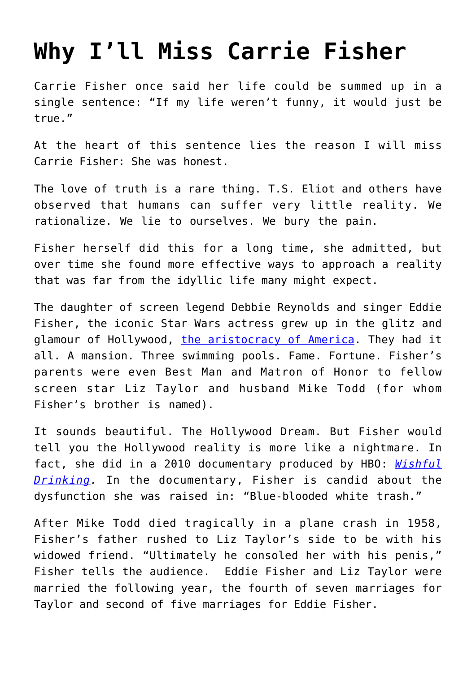## **[Why I'll Miss Carrie Fisher](https://intellectualtakeout.org/2016/12/why-ill-miss-carrie-fisher/)**

Carrie Fisher once said her life could be summed up in a single sentence: "If my life weren't funny, it would just be true."

At the heart of this sentence lies the reason I will miss Carrie Fisher: She was honest.

The love of truth is a rare thing. T.S. Eliot and others have observed that humans can suffer very little reality. We rationalize. We lie to ourselves. We bury the pain.

Fisher herself did this for a long time, she admitted, but over time she found more effective ways to approach a reality that was far from the idyllic life many might expect.

The daughter of screen legend Debbie Reynolds and singer Eddie Fisher, the iconic Star Wars actress grew up in the glitz and glamour of Hollywood, [the aristocracy of America.](https://www.intellectualtakeout.org/blog/americas-corrupt-aristocracy) They had it all. A mansion. Three swimming pools. Fame. Fortune. Fisher's parents were even Best Man and Matron of Honor to fellow screen star Liz Taylor and husband Mike Todd (for whom Fisher's brother is named).

It sounds beautiful. The Hollywood Dream. But Fisher would tell you the Hollywood reality is more like a nightmare. In fact, she did in a 2010 documentary produced by HBO: *[Wishful](http://www.hbo.com/documentaries/wishful-drinking) [Drinking](http://www.hbo.com/documentaries/wishful-drinking).* In the documentary, Fisher is candid about the dysfunction she was raised in: "Blue-blooded white trash."

After Mike Todd died tragically in a plane crash in 1958, Fisher's father rushed to Liz Taylor's side to be with his widowed friend. "Ultimately he consoled her with his penis," Fisher tells the audience. Eddie Fisher and Liz Taylor were married the following year, the fourth of seven marriages for Taylor and second of five marriages for Eddie Fisher.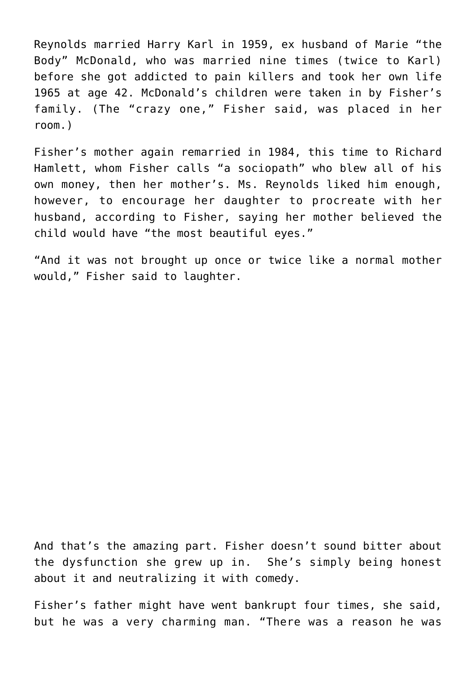Reynolds married Harry Karl in 1959, ex husband of Marie "the Body" McDonald, who was married nine times (twice to Karl) before she got addicted to pain killers and took her own life 1965 at age 42. McDonald's children were taken in by Fisher's family. (The "crazy one," Fisher said, was placed in her room.)

Fisher's mother again remarried in 1984, this time to Richard Hamlett, whom Fisher calls "a sociopath" who blew all of his own money, then her mother's. Ms. Reynolds liked him enough, however, to encourage her daughter to procreate with her husband, according to Fisher, saying her mother believed the child would have "the most beautiful eyes."

"And it was not brought up once or twice like a normal mother would," Fisher said to laughter.

And that's the amazing part. Fisher doesn't sound bitter about the dysfunction she grew up in. She's simply being honest about it and neutralizing it with comedy.

Fisher's father might have went bankrupt four times, she said, but he was a very charming man. "There was a reason he was